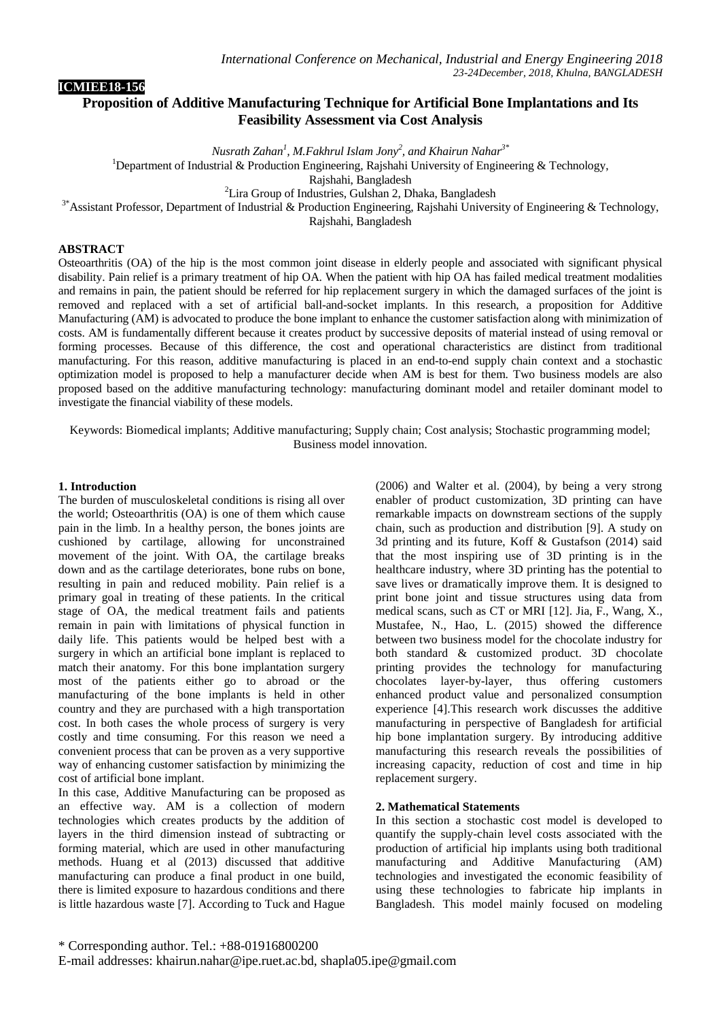# **Proposition of Additive Manufacturing Technique for Artificial Bone Implantations and Its Feasibility Assessment via Cost Analysis**

*Nusrath Zahan<sup>1</sup> , M.Fakhrul Islam Jony<sup>2</sup> , and Khairun Nahar3\**

<sup>1</sup>Department of Industrial & Production Engineering, Rajshahi University of Engineering & Technology,

Rajshahi, Bangladesh

<sup>2</sup>Lira Group of Industries, Gulshan 2, Dhaka, Bangladesh

<sup>3\*</sup>Assistant Professor, Department of Industrial & Production Engineering, Rajshahi University of Engineering & Technology,

Rajshahi, Bangladesh

## **ABSTRACT**

**ICMIEE18-156**

Osteoarthritis (OA) of the hip is the most common joint disease in elderly people and associated with significant physical disability. Pain relief is a primary treatment of hip OA. When the patient with hip OA has failed medical treatment modalities and remains in pain, the patient should be referred for hip replacement surgery in which the damaged surfaces of the joint is removed and replaced with a set of artificial ball-and-socket implants. In this research, a proposition for Additive Manufacturing (AM) is advocated to produce the bone implant to enhance the customer satisfaction along with minimization of costs. AM is fundamentally different because it creates product by successive deposits of material instead of using removal or forming processes. Because of this difference, the cost and operational characteristics are distinct from traditional manufacturing. For this reason, additive manufacturing is placed in an end-to-end supply chain context and a stochastic optimization model is proposed to help a manufacturer decide when AM is best for them. Two business models are also proposed based on the additive manufacturing technology: manufacturing dominant model and retailer dominant model to investigate the financial viability of these models.

Keywords: Biomedical implants; Additive manufacturing; Supply chain; Cost analysis; Stochastic programming model; Business model innovation.

#### **1. Introduction**

The burden of musculoskeletal conditions is rising all over the world; Osteoarthritis (OA) is one of them which cause pain in the limb. In a healthy person, the bones joints are cushioned by cartilage, allowing for unconstrained movement of the joint. With OA, the cartilage breaks down and as the cartilage deteriorates, bone rubs on bone, resulting in pain and reduced mobility. Pain relief is a primary goal in treating of these patients. In the critical stage of OA, the medical treatment fails and patients remain in pain with limitations of physical function in daily life. This patients would be helped best with a surgery in which an artificial bone implant is replaced to match their anatomy. For this bone implantation surgery most of the patients either go to abroad or the manufacturing of the bone implants is held in other country and they are purchased with a high transportation cost. In both cases the whole process of surgery is very costly and time consuming. For this reason we need a convenient process that can be proven as a very supportive way of enhancing customer satisfaction by minimizing the cost of artificial bone implant.

In this case, Additive Manufacturing can be proposed as an effective way. AM is a collection of modern technologies which creates products by the addition of layers in the third dimension instead of subtracting or forming material, which are used in other manufacturing methods. Huang et al (2013) discussed that additive manufacturing can produce a final product in one build, there is limited exposure to hazardous conditions and there is little hazardous waste [7]. According to Tuck and Hague

(2006) and Walter et al. (2004), by being a very strong enabler of product customization, 3D printing can have remarkable impacts on downstream sections of the supply chain, such as production and distribution [9]. A study on 3d printing and its future, Koff & Gustafson (2014) said that the most inspiring use of 3D printing is in the healthcare industry, where 3D printing has the potential to save lives or dramatically improve them. It is designed to print bone joint and tissue structures using data from medical scans, such as CT or MRI [12]. Jia, F., Wang, X., Mustafee, N., Hao, L. (2015) showed the difference between two business model for the chocolate industry for both standard & customized product. 3D chocolate printing provides the technology for manufacturing chocolates layer-by-layer, thus offering customers enhanced product value and personalized consumption experience [4].This research work discusses the additive manufacturing in perspective of Bangladesh for artificial hip bone implantation surgery. By introducing additive manufacturing this research reveals the possibilities of increasing capacity, reduction of cost and time in hip replacement surgery.

### **2. Mathematical Statements**

In this section a stochastic cost model is developed to quantify the supply-chain level costs associated with the production of artificial hip implants using both traditional manufacturing and Additive Manufacturing (AM) technologies and investigated the economic feasibility of using these technologies to fabricate hip implants in Bangladesh. This model mainly focused on modeling

\* Corresponding author. Tel.: +88-01916800200

E-mail addresses: khairun.nahar@ipe.ruet.ac.bd, shapla05.ipe@gmail.com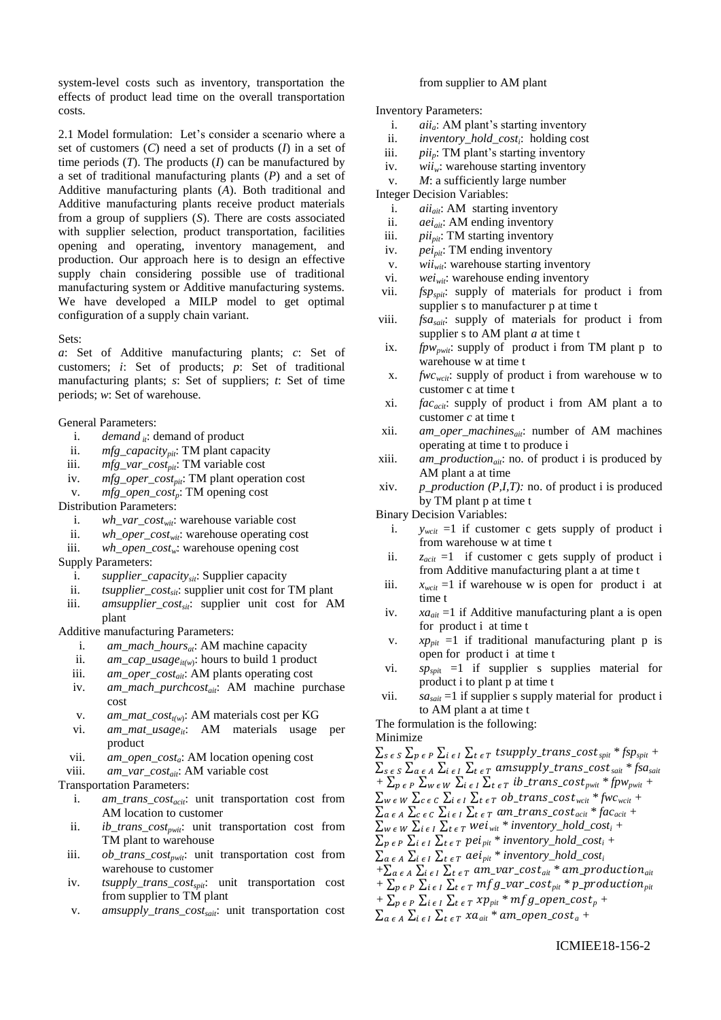system-level costs such as inventory, transportation the effects of product lead time on the overall transportation costs.

2.1 Model formulation: Let's consider a scenario where a set of customers (*C*) need a set of products (*I*) in a set of time periods  $(T)$ . The products  $(I)$  can be manufactured by a set of traditional manufacturing plants (*P*) and a set of Additive manufacturing plants (*A*). Both traditional and Additive manufacturing plants receive product materials from a group of suppliers (*S*). There are costs associated with supplier selection, product transportation, facilities opening and operating, inventory management, and production. Our approach here is to design an effective supply chain considering possible use of traditional manufacturing system or Additive manufacturing systems. We have developed a MILP model to get optimal configuration of a supply chain variant.

#### Sets:

*a*: Set of Additive manufacturing plants; *c*: Set of customers; *i*: Set of products; *p*: Set of traditional manufacturing plants; *s*: Set of suppliers; *t*: Set of time periods; *w*: Set of warehouse.

General Parameters:

- i. *demand*  $\dot{u}$ : demand of product<br>ii. *mfg capacity<sub>ni</sub>*: TM plant cap
- *mfg\_capacity<sub>pit</sub>*: **TM** plant capacity
- iii. *mfg\_var\_costpit*: TM variable cost
- iv. *mfg\_oper\_costpit*: TM plant operation cost
- v. *mfg\_open\_costp*: TM opening cost
- Distribution Parameters:
	- i. *wh\_var\_costwit*: warehouse variable cost
	- ii. *wh\_oper\_costwit*: warehouse operating cost
	- iii. *wh\_open\_costw*: warehouse opening cost
- Supply Parameters:
	- i. *supplier\_capacitysit*: Supplier capacity
	- ii. *tsupplier\_cost<sub>sit</sub>*: supplier unit cost for TM plant
	- iii. *amsupplier\_costsit*: supplier unit cost for AM plant

Additive manufacturing Parameters:

- i. *am\_mach\_hours<sub>at</sub>*: AM machine capacity<br>ii. *am\_cap\_usage<sub>tion</sub>*: hours to build 1 produ
- ii. *am\_cap\_usage*<sub>*it(w*)</sub>: hours to build 1 product
- iii. *am\_oper\_costait*: AM plants operating cost
- iv. *am\_mach\_purchcostait*: AM machine purchase cost
- v. *am\_mat\_cost<sub>t(w)</sub>*: AM materials cost per KG
- vi. *am\_mat\_usageit*: AM materials usage per product
- vii. *am\_open\_costa*: AM location opening cost
- viii. *am\_var\_costait*: AM variable cost

Transportation Parameters:

- i. *am\_trans\_costacit*: unit transportation cost from AM location to customer
- ii. *ib\_trans\_costpwit*: unit transportation cost from TM plant to warehouse
- iii. *ob\_trans\_costpwit*: unit transportation cost from warehouse to customer
- iv. *tsupply\_trans\_costspit*: unit transportation cost from supplier to TM plant
- v. *amsupply\_trans\_costsait*: unit transportation cost

#### from supplier to AM plant

#### Inventory Parameters:

- i. *aii<sub>a</sub>*: AM plant's starting inventory<br>ii. *inventory hold cost<sub>i</sub>*: holding cost
- ii. *inventory\_hold\_cost<sup>i</sup>* : holding cost
- iii.  $pi_p$ : TM plant's starting inventory<br>iv.  $wii_w$ : warehouse starting inventory
- iv.  $wii_w$ : warehouse starting inventory<br>v.  $M$ : a sufficiently large number
- *M*: a sufficiently large number

Integer Decision Variables:

- i. *aii<sub>ait</sub>*: AM starting inventory<br>ii. *aei<sub>ai</sub>*: AM ending inventory
- ii. *aei*<sub>ait</sub>: AM ending inventory<br>iii. *pii<sub>nit</sub>*: TM starting inventory
- *pii<sub>nit</sub>*: **TM** starting inventory
- iv. *peipit*: TM ending inventory
- v. *wiiwit*: warehouse starting inventory
- vi. *weiwit*: warehouse ending inventory
- vii. *fspspit*: supply of materials for product i from supplier s to manufacturer p at time t
- viii. *fsasait*: supply of materials for product i from supplier s to AM plant *a* at time t
- ix. *fpw<sub>pwit</sub>*: supply of product i from TM plant p to warehouse w at time t
- x. *fwcwcit*: supply of product i from warehouse w to customer c at time t
- xi. *facacit*: supply of product i from AM plant a to customer *c* at time t
- xii. *am\_oper\_machinesait*: number of AM machines operating at time t to produce i
- xiii. *am\_productionait*: no. of product i is produced by AM plant a at time
- xiv. *p\_production (P,I,T):* no. of product i is produced by TM plant p at time t

Binary Decision Variables:

- i.  $y_{\text{wcit}} = 1$  if customer c gets supply of product i from warehouse w at time t
- ii.  $z_{\text{acit}} = 1$  if customer c gets supply of product i from Additive manufacturing plant a at time t
- iii.  $x_{\text{wcit}} = 1$  if warehouse w is open for product i at time t
- iv. *xaait* =1 if Additive manufacturing plant a is open for product i at time t
- v.  $xp_{pit} = 1$  if traditional manufacturing plant p is open for product i at time t
- vi. *spspi*<sup>t</sup> =1 if supplier s supplies material for product i to plant p at time t
- vii.  $sa_{sait} = 1$  if supplier s supply material for product i to AM plant a at time t

The formulation is the following:

Minimize

 $\sum_{s \in S} \sum_{p \in P} \sum_{i \in I} \sum_{t \in T} t supply\_trans\_cost_{split} * fsp_{split} +$  $\sum_{s \in S} \sum_{a \in A} \sum_{i \in I} \sum_{t \in T}$  amsupply\_trans\_cost<sub>sait</sub> \* fsa<sub>sait</sub>  $+ \sum_{p \in P} \sum_{w \in W} \sum_{i \in I} \sum_{t \in T} i b_{\text{r}} trans_{\text{r}} cost_{\text{pwt}} * f p w_{\text{pwt}} +$  $\sum_{w \in W} \sum_{c \in C} \sum_{i \in I} \sum_{t \in T} ob\_trans\_cost_{wcit} * fwc_{wcit} +$  $\sum_{a \in A}$   $\sum_{c \in C}$   $\sum_{i \in I}$   $\sum_{t \in T}$  am\_trans\_cost<sub>acit</sub> \* fac<sub>acit</sub> +  $\sum_{w \in W} \sum_{i \in I} \sum_{t \in T}$  wei<sub>wit</sub> \* inventory\_hold\_cost<sub>i</sub> +  $\sum_{p \in P} \sum_{i \in I} \sum_{t \in T} pei_{pit} * inventory\_hold\_cost_i +$  $\sum_{a \in A} \sum_{i \in I} \sum_{t \in T} aei_{pit} * inventory\_hold\_cost_i$  $+ \sum_{a \in A} \sum_{i \in I} \sum_{t \in T} am\_var\_cost_{air} * am\_production_{air}$  $+ \sum_{p \in P} \sum_{i \in I} \sum_{t \in T} mfg\_var\_cost_{pit} * p\_production_{pit}$  $+ \sum_{p \in P} \sum_{i \in I} \sum_{t \in T} x p_{pi} * mfg\_open\_cost_p +$  $\sum_{a \in A} \sum_{i \in I} \sum_{t \in T} x a_{ait} * am\_open\_cost_a +$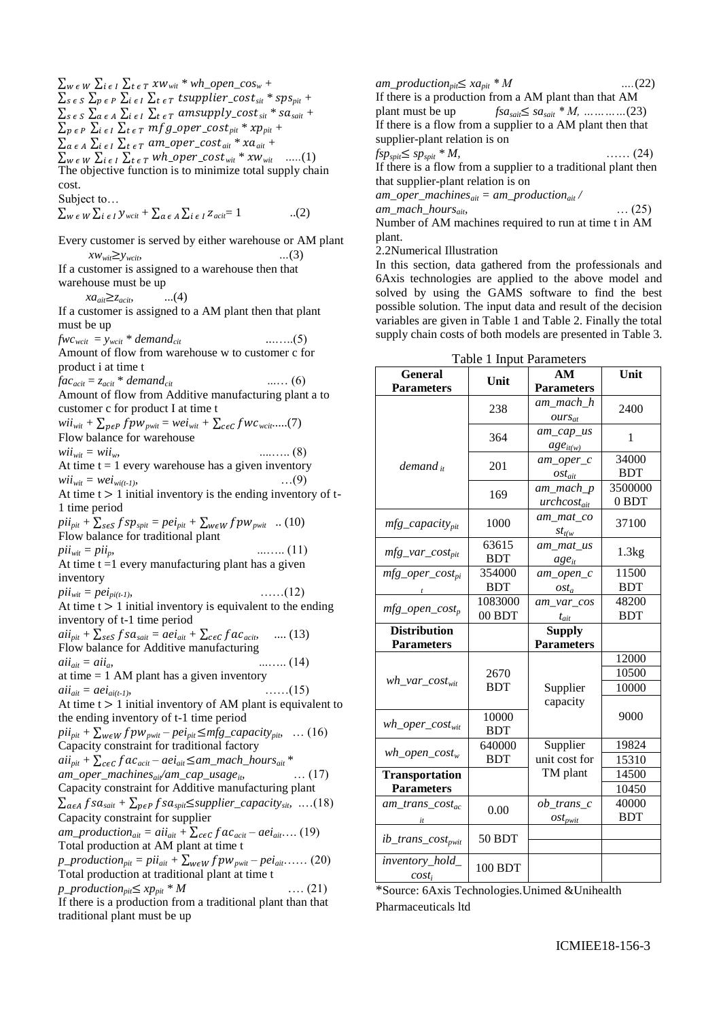$\sum_{s \in S} \sum_{a \in A} \sum_{i \in I} \sum_{t \in T}$  amsupply\_cost<sub>sit</sub> \* sa<sub>sait</sub> +  $\sum_{p \in P} \sum_{i \in I} \sum_{t \in T} mfg\_oper\_cost_{pit} * xp_{pit} +$  $\sum_{a \in A} \sum_{i \in I} \sum_{t \in T} am\_oper\_cost_{air} * xa_{air} + \sum_{w \in W} \sum_{i \in I} \sum_{t \in T} wh\_oper\_cost_{wit} * xw_{wit}$  .....(1)  $\sum_{w \in W} \sum_{i \in I} \sum_{t \in T} wh\_oper\_cost_{wit} * xw_{wit}$ The objective function is to minimize total supply chain cost. Subject to…  $\sum_{w \in W} \sum_{i \in I} y_{wait} + \sum_{a \in A} \sum_{i \in I} z_{acit} = 1$  ...(2) Every customer is served by either warehouse or AM plant  $xw_{wit} \geq y_{wcit}$ , ...(3) If a customer is assigned to a warehouse then that warehouse must be up  $xa_{air} \geq z_{acit}$ , ...(4) If a customer is assigned to a AM plant then that plant must be up  $fwc_{wcit} = y_{wcit} * demand_{cit}$  ........(5) Amount of flow from warehouse w to customer c for product i at time t  $fac_{acit} = z_{acit} * demand_{cit}$  ....... (6) Amount of flow from Additive manufacturing plant a to customer c for product I at time t  $wii_{wit} + \sum_{p \in P} fpw_{pwit} = wei_{wit} + \sum_{c \in C} fwc_{wcit}....(7)$ Flow balance for warehouse *wiiwit = wiiw,* ....….. (8) At time  $t = 1$  every warehouse has a given inventory *wiiwit = weiwi(t-1),* …(9) At time  $t > 1$  initial inventory is the ending inventory of t-1 time period  $pi_{pit} + \sum_{s \in S} fsp_{split} = pei_{pit} + \sum_{w \in W} fpw_{pwit}$  .. (10) Flow balance for traditional plant *piiwit = piip,* ...….. (11) At time  $t = 1$  every manufacturing plant has a given inventory  $pi_{wit} = pei_{pi(t-1)}$ *,* ……(12) At time  $t > 1$  initial inventory is equivalent to the ending inventory of t-1 time period  $aii_{pit} + \sum_{s \in S} fsa_{sait} = aei_{ait} + \sum_{c \in C} fac_{acib}$  .... (13) Flow balance for Additive manufacturing  $aii_{ait} = aii_{at}$  (14) at time  $= 1$  AM plant has a given inventory *aiiait = aeiai(t-1),* ……(15) At time  $t > 1$  initial inventory of AM plant is equivalent to the ending inventory of t-1 time period  $pi_{pit} + \sum_{w \in W} fpw_{pwit} - pei_{pit} \leq mfg\_capacity_{pit}$ , … (16) Capacity constraint for traditional factory  $aii_{pit} + \sum_{c \in C} fac_{acit} - aei_{ait} \leq am\_mach\_hours_{ait} *$  $am\_oper\_machines_{air}/am\_cap\_usage_{ib}$  (17) Capacity constraint for Additive manufacturing plant  $\sum_{a \in A} f \, s a_{sait} + \sum_{p \in P} f \, s a_{s pit} \leq \text{supplier\_capacity}_{sit} \quad \dots (18)$ Capacity constraint for supplier *am\_production*<sub>ait</sub> =  $a^{i}i_{ait}$  +  $\sum_{c \in C} fac_{acit}$  –  $ae^{i}_{ait}$ …. (19) Total production at AM plant at time t  $p\_production_{pit} = pi i_{ait} + \sum_{w \in W} f p w_{p wit} - pe i_{ait} \dots (20)$ Total production at traditional plant at time t  $p\_production_{pit} \leq xp_{pit} * M$  .... (21) If there is a production from a traditional plant than that traditional plant must be up

 $\sum_{w \in W} \sum_{i \in I} \sum_{t \in T} xw_{wit} * wh\_open\_cos_w +$ 

 $\sum_{s \in S} \sum_{p \in P} \sum_{i \in I} \sum_{t \in T} t$ supplier\_cost<sub>sit</sub> \* sps<sub>pit</sub> +

 $am\_production_{pit} \leq x a_{pit} * M$  ….(22) If there is a production from a AM plant than that AM plant must be up *fsasait sasait \* M, …………*(23) If there is a flow from a supplier to a AM plant then that supplier-plant relation is on *fspspit spspit \* M,* …… (24) If there is a flow from a supplier to a traditional plant then that supplier-plant relation is on *am\_oper\_machinesait = am\_productionait / am\_mach\_hoursait,* … (25) Number of AM machines required to run at time t in AM plant.

2.2Numerical Illustration

In this section, data gathered from the professionals and 6Axis technologies are applied to the above model and solved by using the GAMS software to find the best possible solution. The input data and result of the decision variables are given in Table 1 and Table 2. Finally the total supply chain costs of both models are presented in Table 3.

| Table 1 Input Parameters    |            |                   |            |  |
|-----------------------------|------------|-------------------|------------|--|
| <b>General</b>              |            | AM                | Unit       |  |
| <b>Parameters</b>           | Unit       | <b>Parameters</b> |            |  |
|                             |            | am_mach_h         |            |  |
|                             | 238        | $ours_{at}$       | 2400       |  |
|                             | 364        | $am\_cap\_us$     |            |  |
|                             |            | $age_{it(w)}$     | 1          |  |
| $demand_{it}$               | 201        | am oper c         | 34000      |  |
|                             |            | $ost_{ait}$       | <b>BDT</b> |  |
|                             | 169        | am_mach_p         | 3500000    |  |
|                             |            | $urchcost_{ait}$  | 0 BDT      |  |
| mfg_capacity <sub>pit</sub> | 1000       | am_mat_co         | 37100      |  |
|                             |            | $st_{t(w)}$       |            |  |
|                             | 63615      | am mat us         |            |  |
| $mfg\_var\_cost_{pit}$      | <b>BDT</b> | $age_{it}$        | 1.3kg      |  |
| $mfg\_oper\_cost_{pi}$      | 354000     | $am\_open\_c$     | 11500      |  |
|                             | <b>BDT</b> | $ost_a$           | <b>BDT</b> |  |
| $mfg\_open\_cost_p$         | 1083000    | am var cos        | 48200      |  |
|                             | 00 BDT     | $t_{ait}$         | <b>BDT</b> |  |
| <b>Distribution</b>         |            | <b>Supply</b>     |            |  |
| <b>Parameters</b>           |            | <b>Parameters</b> |            |  |
|                             |            |                   | 12000      |  |
| $wh\_var\_cost_{wit}$       | 2670       |                   | 10500      |  |
|                             | <b>BDT</b> | Supplier          | 10000      |  |
|                             |            | capacity          |            |  |
|                             | 10000      |                   | 9000       |  |
| $wh\_oper\_cost_{wit}$      | <b>BDT</b> |                   |            |  |
| $wh\_open\_cost_w$          | 640000     | Supplier          | 19824      |  |
|                             | <b>BDT</b> | unit cost for     | 15310      |  |
| <b>Transportation</b>       |            | TM plant          | 14500      |  |
| <b>Parameters</b>           |            |                   | 10450      |  |
| am trans $cost_{ac}$        | 0.00       | $ob\_trans\_c$    | 40000      |  |
|                             |            | $ost_{pwit}$      | <b>BDT</b> |  |
| $ib\_trans\_cost_{pwit}$    | 50 BDT     |                   |            |  |
|                             |            |                   |            |  |
| inventory_hold_<br>$cost_i$ | 100 BDT    |                   |            |  |

Table 1 Input Parameters

\*Source: 6Axis Technologies.Unimed &Unihealth Pharmaceuticals ltd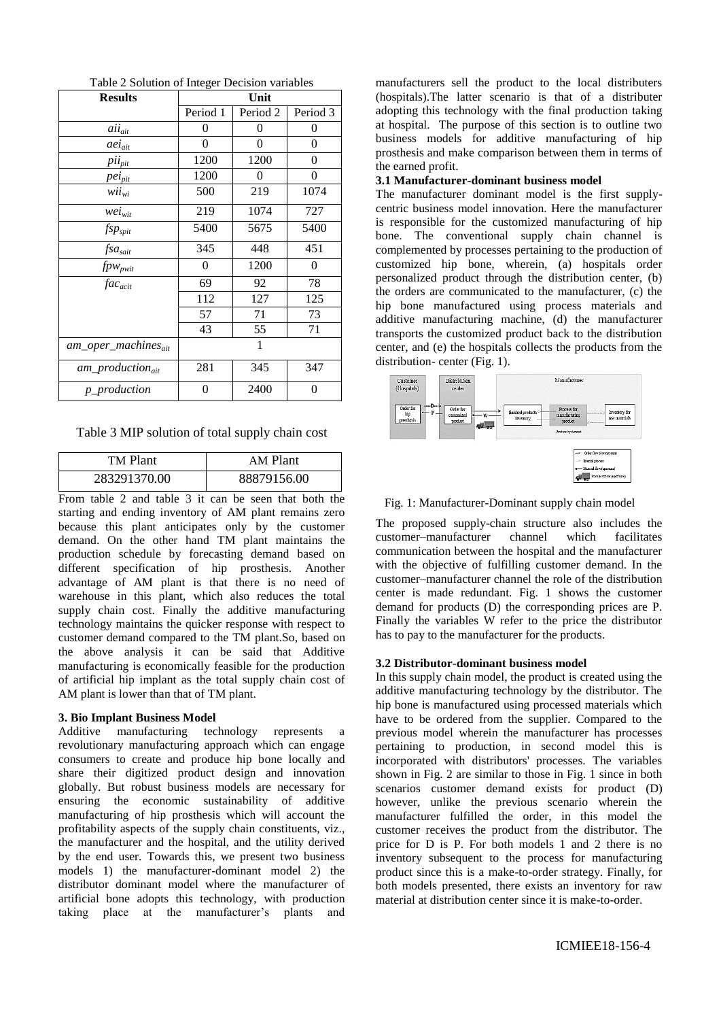| <b>Results</b>                  | Unit           |                     |                |
|---------------------------------|----------------|---------------------|----------------|
|                                 | Period 1       | Period <sub>2</sub> | Period 3       |
| $aii_{ait}$                     | 0              | 0                   | 0              |
| aei <sub>ait</sub>              | $\overline{0}$ | $\overline{0}$      | $\overline{0}$ |
| pii <sub>pit</sub>              | 1200           | 1200                | 0              |
| $pei_{pit}$                     | 1200           | 0                   | 0              |
| $wii_{wi}$                      | 500            | 219                 | 1074           |
| $wei_{wit}$                     | 219            | 1074                | 727            |
| $fsp_{split}$                   | 5400           | 5675                | 5400           |
| $f$ s $a_{sait}$                | 345            | 448                 | 451            |
| $fpw_{pwit}$                    | 0              | 1200                | 0              |
| $fac_{acit}$                    | 69             | 92                  | 78             |
|                                 | 112            | 127                 | 125            |
|                                 | 57             | 71                  | 73             |
|                                 | 43             | 55                  | 71             |
| am_oper_machines <sub>ait</sub> |                | 1                   |                |
| am_production <sub>ait</sub>    | 281            | 345                 | 347            |
| $p\_production$                 | 0              | 2400                | 0              |

Table 2 Solution of Integer Decision variables

Table 3 MIP solution of total supply chain cost

| <b>TM Plant</b> | AM Plant    |
|-----------------|-------------|
| 283291370.00    | 88879156.00 |

From table 2 and table 3 it can be seen that both the starting and ending inventory of AM plant remains zero because this plant anticipates only by the customer demand. On the other hand TM plant maintains the production schedule by forecasting demand based on different specification of hip prosthesis. Another advantage of AM plant is that there is no need of warehouse in this plant, which also reduces the total supply chain cost. Finally the additive manufacturing technology maintains the quicker response with respect to customer demand compared to the TM plant.So, based on the above analysis it can be said that Additive manufacturing is economically feasible for the production of artificial hip implant as the total supply chain cost of AM plant is lower than that of TM plant.

#### **3. Bio Implant Business Model**

Additive manufacturing technology represents a revolutionary manufacturing approach which can engage consumers to create and produce hip bone locally and share their digitized product design and innovation globally. But robust business models are necessary for ensuring the economic sustainability of additive manufacturing of hip prosthesis which will account the profitability aspects of the supply chain constituents, viz., the manufacturer and the hospital, and the utility derived by the end user. Towards this, we present two business models 1) the manufacturer-dominant model 2) the distributor dominant model where the manufacturer of artificial bone adopts this technology, with production taking place at the manufacturer's plants and

manufacturers sell the product to the local distributers (hospitals).The latter scenario is that of a distributer adopting this technology with the final production taking at hospital. The purpose of this section is to outline two business models for additive manufacturing of hip prosthesis and make comparison between them in terms of the earned profit.

### **3.1 Manufacturer-dominant business model**

The manufacturer dominant model is the first supplycentric business model innovation. Here the manufacturer is responsible for the customized manufacturing of hip bone. The conventional supply chain channel is complemented by processes pertaining to the production of customized hip bone, wherein, (a) hospitals order personalized product through the distribution center, (b) the orders are communicated to the manufacturer, (c) the hip bone manufactured using process materials and additive manufacturing machine, (d) the manufacturer transports the customized product back to the distribution center, and (e) the hospitals collects the products from the distribution- center (Fig. 1).



Fig. 1: Manufacturer-Dominant supply chain model

The proposed supply-chain structure also includes the customer–manufacturer channel which facilitates communication between the hospital and the manufacturer with the objective of fulfilling customer demand. In the customer–manufacturer channel the role of the distribution center is made redundant. Fig. 1 shows the customer demand for products (D) the corresponding prices are P. Finally the variables W refer to the price the distributor has to pay to the manufacturer for the products.

## **3.2 Distributor-dominant business model**

In this supply chain model, the product is created using the additive manufacturing technology by the distributor. The hip bone is manufactured using processed materials which have to be ordered from the supplier. Compared to the previous model wherein the manufacturer has processes pertaining to production, in second model this is incorporated with distributors' processes. The variables shown in Fig. 2 are similar to those in Fig. 1 since in both scenarios customer demand exists for product (D) however, unlike the previous scenario wherein the manufacturer fulfilled the order, in this model the customer receives the product from the distributor. The price for D is P. For both models 1 and 2 there is no inventory subsequent to the process for manufacturing product since this is a make-to-order strategy. Finally, for both models presented, there exists an inventory for raw material at distribution center since it is make-to-order.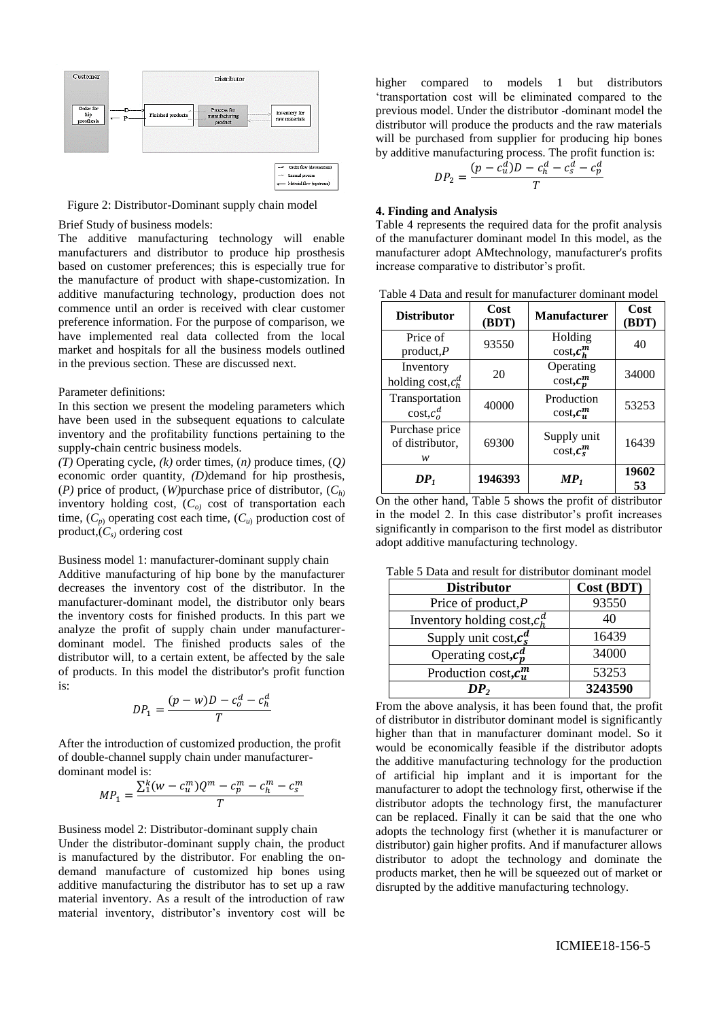

Figure 2: Distributor-Dominant supply chain model

Brief Study of business models:

The additive manufacturing technology will enable manufacturers and distributor to produce hip prosthesis based on customer preferences; this is especially true for the manufacture of product with shape-customization. In additive manufacturing technology, production does not commence until an order is received with clear customer preference information. For the purpose of comparison, we have implemented real data collected from the local market and hospitals for all the business models outlined in the previous section. These are discussed next.

### Parameter definitions:

In this section we present the modeling parameters which have been used in the subsequent equations to calculate inventory and the profitability functions pertaining to the supply-chain centric business models.

*(T)* Operating cycle, *(k)* order times, (*n)* produce times, (*Q)* economic order quantity, *(D)*demand for hip prosthesis, (*P)* price of product, (*W)*purchase price of distributor, (*Ch)* inventory holding cost, (*Co)* cost of transportation each time,  $(C_p)$  operating cost each time,  $(C_u)$  production cost of product,(*Cs)* ordering cost

Business model 1: manufacturer-dominant supply chain

Additive manufacturing of hip bone by the manufacturer decreases the inventory cost of the distributor. In the manufacturer-dominant model, the distributor only bears the inventory costs for finished products. In this part we analyze the profit of supply chain under manufacturerdominant model. The finished products sales of the distributor will, to a certain extent, be affected by the sale of products. In this model the distributor's profit function is:

$$
DP_1 = \frac{(p - w)D - c_o^d - c_h^d}{T}
$$

After the introduction of customized production, the profit of double-channel supply chain under manufacturerdominant model is:

$$
MP_1 = \frac{\sum_{1}^{k} (w - c_u^m) Q^m - c_p^m - c_h^m - c_s^m}{T}
$$

Business model 2: Distributor-dominant supply chain Under the distributor-dominant supply chain, the product is manufactured by the distributor. For enabling the ondemand manufacture of customized hip bones using additive manufacturing the distributor has to set up a raw material inventory. As a result of the introduction of raw material inventory, distributor's inventory cost will be

higher compared to models 1 but distributors 'transportation cost will be eliminated compared to the previous model. Under the distributor -dominant model the distributor will produce the products and the raw materials will be purchased from supplier for producing hip bones by additive manufacturing process. The profit function is:

$$
DP_2 = \frac{(p - c_u^d)D - c_h^d - c_s^d - c_p^d}{T}
$$

#### **4. Finding and Analysis**

Table 4 represents the required data for the profit analysis of the manufacturer dominant model In this model, as the manufacturer adopt AMtechnology, manufacturer's profits increase comparative to distributor's profit.

| Table 4 Data and result for manufacturer dominant model |  |  |  |
|---------------------------------------------------------|--|--|--|
|---------------------------------------------------------|--|--|--|

| <b>Distributor</b>                     | Cost<br>(BDT) | <b>Manufacturer</b>                            | Cost<br>(BDT) |
|----------------------------------------|---------------|------------------------------------------------|---------------|
| Price of<br>product, $P$               | 93550         | Holding<br>$\cos t$ , $c_n^m$                  | 40            |
| Inventory<br>holding cost, $c_h^d$     | 20            | Operating<br>$\cos t$ , $c_n^m$                | 34000         |
| Transportation<br>$\text{cost}, c^d$   | 40000         | Production<br>$\cos t, c_n^m$                  | 53253         |
| Purchase price<br>of distributor.<br>w | 69300         | Supply unit<br>$\cos t$ , $\boldsymbol{c}_s^m$ | 16439         |
| DP <sub>i</sub>                        | 1946393       | $\boldsymbol{MP}_1$                            | 19602<br>53   |

On the other hand, Table 5 shows the profit of distributor in the model 2. In this case distributor's profit increases significantly in comparison to the first model as distributor adopt additive manufacturing technology.

Table 5 Data and result for distributor dominant model

| <b>Distributor</b>              | Cost (BDT) |
|---------------------------------|------------|
| Price of product, $P$           | 93550      |
| Inventory holding cost, $c_n^d$ | 40         |
| Supply unit cost, $c_s^d$       | 16439      |
| Operating cost, $c_n^d$         | 34000      |
| Production cost, $c_n^m$        | 53253      |
| DP,                             | 3243590    |

From the above analysis, it has been found that, the profit of distributor in distributor dominant model is significantly higher than that in manufacturer dominant model. So it would be economically feasible if the distributor adopts the additive manufacturing technology for the production of artificial hip implant and it is important for the manufacturer to adopt the technology first, otherwise if the distributor adopts the technology first, the manufacturer can be replaced. Finally it can be said that the one who adopts the technology first (whether it is manufacturer or distributor) gain higher profits. And if manufacturer allows distributor to adopt the technology and dominate the products market, then he will be squeezed out of market or disrupted by the additive manufacturing technology.